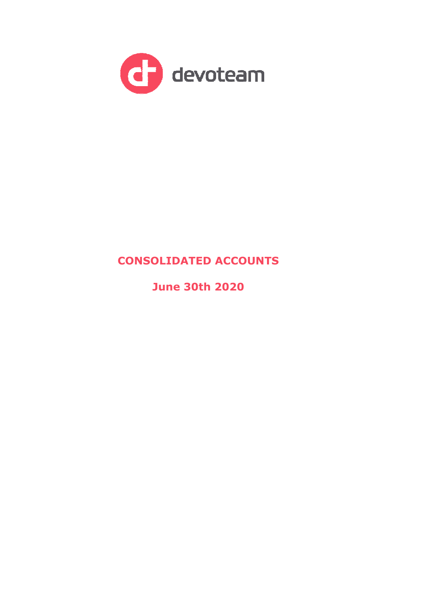

# **CONSOLIDATED ACCOUNTS**

**June 30th 2020**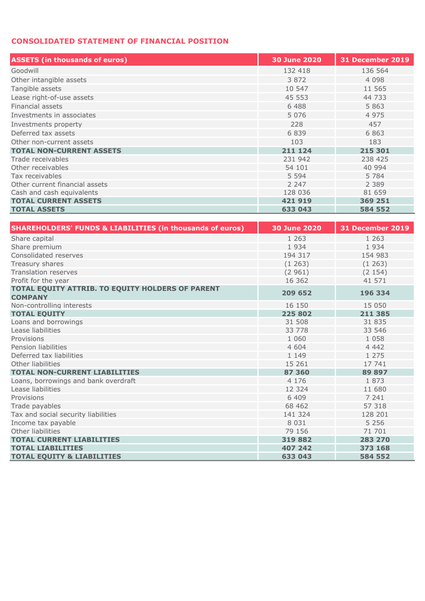## **CONSOLIDATED STATEMENT OF FINANCIAL POSITION**

| <b>ASSETS</b> (in thousands of euros) | 30 June 2020 | <b>31 December 2019</b> |
|---------------------------------------|--------------|-------------------------|
| Goodwill                              | 132 418      | 136 564                 |
| Other intangible assets               | 3 8 7 2      | 4 0 9 8                 |
| Tangible assets                       | 10 547       | 11 565                  |
| Lease right-of-use assets             | 45 553       | 44 733                  |
| Financial assets                      | 6 4 8 8      | 5 8 6 3                 |
| Investments in associates             | 5 0 7 6      | 4 9 7 5                 |
| Investments property                  | 228          | 457                     |
| Deferred tax assets                   | 6839         | 6863                    |
| Other non-current assets              | 103          | 183                     |
| <b>TOTAL NON-CURRENT ASSETS</b>       | 211 124      | 215 301                 |
| Trade receivables                     | 231 942      | 238 425                 |
| Other receivables                     | 54 101       | 40 994                  |
| Tax receivables                       | 5 5 9 4      | 5 7 8 4                 |
| Other current financial assets        | 2 2 4 7      | 2 3 8 9                 |
| Cash and cash equivalents             | 128 036      | 81 659                  |
| <b>TOTAL CURRENT ASSETS</b>           | 421919       | 369 251                 |
| <b>TOTAL ASSETS</b>                   | 633 043      | 584 552                 |

| <b>SHAREHOLDERS' FUNDS &amp; LIABILITIES (in thousands of euros)</b> | <b>30 June 2020</b> | 31 December 2019 |
|----------------------------------------------------------------------|---------------------|------------------|
| Share capital                                                        | 1 2 6 3             | 1 2 6 3          |
| Share premium                                                        | 1934                | 1934             |
| Consolidated reserves                                                | 194 317             | 154 983          |
| Treasury shares                                                      | (1263)              | (1263)           |
| <b>Translation reserves</b>                                          | (2961)              | (2154)           |
| Profit for the year                                                  | 16 362              | 41 571           |
| TOTAL EQUITY ATTRIB. TO EQUITY HOLDERS OF PARENT<br><b>COMPANY</b>   | 209 652             | 196 334          |
| Non-controlling interests                                            | 16 150              | 15 050           |
| <b>TOTAL EQUITY</b>                                                  | 225 802             | 211 385          |
| Loans and borrowings                                                 | 31 508              | 31 835           |
| Lease liabilities                                                    | 33 778              | 33 546           |
| Provisions                                                           | 1 0 6 0             | 1 0 5 8          |
| Pension liabilities                                                  | 4 604               | 4 4 4 2          |
| Deferred tax liabilities                                             | 1 1 4 9             | 1 2 7 5          |
| Other liabilities                                                    | 15 26 1             | 17 741           |
| <b>TOTAL NON-CURRENT LIABILITIES</b>                                 | 87 360              | 89 897           |
| Loans, borrowings and bank overdraft                                 | 4 1 7 6             | 1873             |
| Lease liabilities                                                    | 12 3 24             | 11 680           |
| Provisions                                                           | 6 4 0 9             | 7 241            |
| Trade payables                                                       | 68 4 62             | 57 318           |
| Tax and social security liabilities                                  | 141 324             | 128 201          |
| Income tax payable                                                   | 8 0 3 1             | 5 2 5 6          |
| Other liabilities                                                    | 79 156              | 71 701           |
| <b>TOTAL CURRENT LIABILITIES</b>                                     | 319882              | 283 270          |
| <b>TOTAL LIABILITIES</b>                                             | 407 242             | 373 168          |
| <b>TOTAL EOUITY &amp; LIABILITIES</b>                                | 633 043             | 584 552          |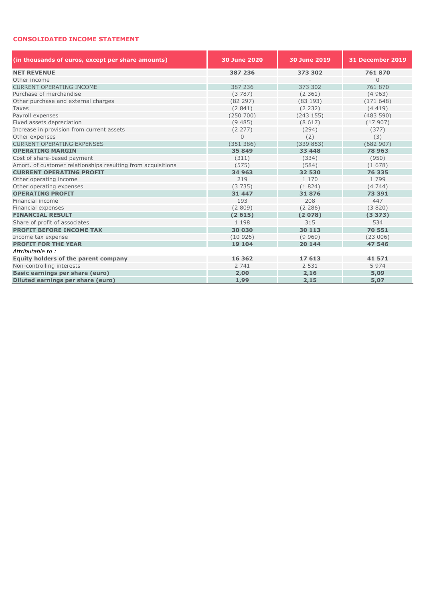#### **CONSOLIDATED INCOME STATEMENT**

| (in thousands of euros, except per share amounts)            | 30 June 2020   | 30 June 2019 | 31 December 2019 |  |  |  |
|--------------------------------------------------------------|----------------|--------------|------------------|--|--|--|
| <b>NET REVENUE</b>                                           | 387 236        | 373 302      | 761870           |  |  |  |
| Other income                                                 |                |              | $\Omega$         |  |  |  |
| <b>CURRENT OPERATING INCOME</b>                              | 387 236        | 373 302      | 761 870          |  |  |  |
| Purchase of merchandise                                      | (3787)         | (2361)       | (4963)           |  |  |  |
| Other purchase and external charges                          | (82 297)       | (83 193)     | (171648)         |  |  |  |
| Taxes                                                        | (2841)         | (2 232)      | (4419)           |  |  |  |
| Payroll expenses                                             | (250, 700)     | (243155)     | (483590)         |  |  |  |
| Fixed assets depreciation                                    | (9485)         | (8617)       | (17907)          |  |  |  |
| Increase in provision from current assets                    | (2277)         | (294)        | (377)            |  |  |  |
| Other expenses                                               | $\overline{0}$ | (2)          | (3)              |  |  |  |
| <b>CURRENT OPERATING EXPENSES</b>                            | (351 386)      | (339853)     | (682907)         |  |  |  |
| <b>OPERATING MARGIN</b>                                      | 35 849         | 33 448       | 78 963           |  |  |  |
| Cost of share-based payment                                  | (311)          | (334)        | (950)            |  |  |  |
| Amort. of customer relationships resulting from acquisitions | (575)          | (584)        | (1678)           |  |  |  |
| <b>CURRENT OPERATING PROFIT</b>                              | 34 963         | 32 530       | 76 335           |  |  |  |
| Other operating income                                       | 219            | 1 1 7 0      | 1799             |  |  |  |
| Other operating expenses                                     | (3735)         | (1824)       | (4744)           |  |  |  |
| <b>OPERATING PROFIT</b>                                      | 31 447         | 31876        | 73 391           |  |  |  |
| Financial income                                             | 193            | 208          | 447              |  |  |  |
| Financial expenses                                           | (2809)         | (2 286)      | (3820)           |  |  |  |
| <b>FINANCIAL RESULT</b>                                      | (2615)         | (2078)       | (3373)           |  |  |  |
| Share of profit of associates                                | 1 1 9 8        | 315          | 534              |  |  |  |
| <b>PROFIT BEFORE INCOME TAX</b>                              | 30 030         | 30 113       | 70 551           |  |  |  |
| Income tax expense                                           | (10926)        | (9969)       | (23006)          |  |  |  |
| <b>PROFIT FOR THE YEAR</b>                                   | 19 104         | 20 144       | 47 546           |  |  |  |
| Attributable to:                                             |                |              |                  |  |  |  |
| Equity holders of the parent company                         | 16 3 6 2       | 17 613       | 41 571           |  |  |  |
| Non-controlling interests                                    | 2 741          | 2 5 3 1      | 5974             |  |  |  |
| Basic earnings per share (euro)                              | 2,00           | 2,16         | 5,09             |  |  |  |
| Diluted earnings per share (euro)                            | 1,99           | 2,15         | 5,07             |  |  |  |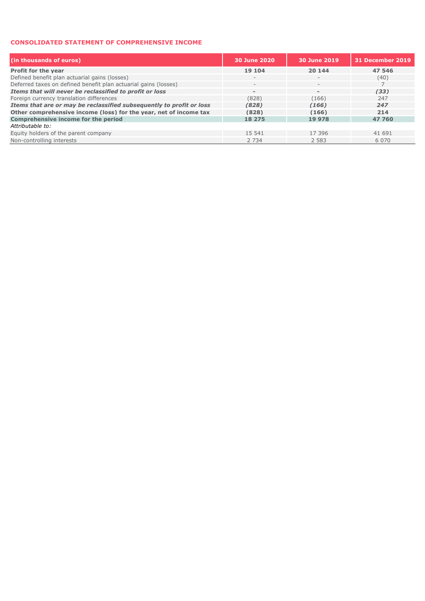#### **CONSOLIDATED STATEMENT OF COMPREHENSIVE INCOME**

| (in thousands of euros)                                              | 30 June 2020             | 30 June 2019             | 31 December 2019 |
|----------------------------------------------------------------------|--------------------------|--------------------------|------------------|
| <b>Profit for the year</b>                                           | 19 104                   | 20 144                   | 47 546           |
| Defined benefit plan actuarial gains (losses)                        | $\qquad \qquad -$        | $\overline{\phantom{a}}$ | (40)             |
| Deferred taxes on defined benefit plan actuarial gains (losses)      | $\qquad \qquad -$        | $-$                      |                  |
| Items that will never be reclassified to profit or loss              | $\overline{\phantom{a}}$ | $\,$                     | (33)             |
| Foreign currency translation differences                             | (828)                    | (166)                    | 247              |
| Items that are or may be reclassified subsequently to profit or loss | (828)                    | (166)                    | 247              |
| Other comprehensive income (loss) for the year, net of income tax    | (828)                    | (166)                    | 214              |
| <b>Comprehensive income for the period</b>                           | 18 275                   | 19 978                   | 47 760           |
| Attributable to:                                                     |                          |                          |                  |
| Equity holders of the parent company                                 | 15 541                   | 17 396                   | 41 691           |
| Non-controlling interests                                            | 2 7 3 4                  | 2 5 8 3                  | 6 0 7 0          |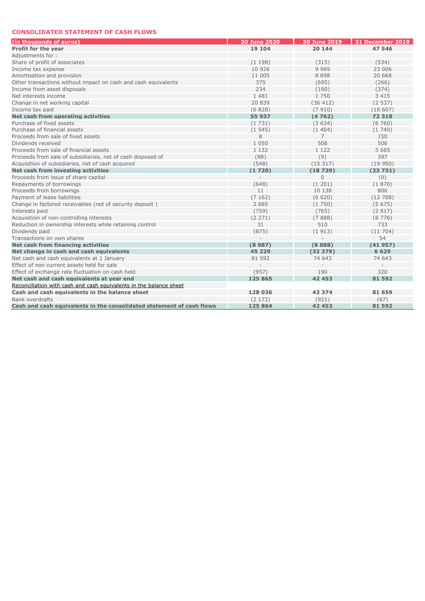#### **CONSOLIDATED STATEMENT OF CASH FLOWS**

| (in thousands of euros)                                               | <b>30 June 2020</b> | 30 June 2019 | 31 December 2019 |
|-----------------------------------------------------------------------|---------------------|--------------|------------------|
| <b>Profit for the year</b>                                            | 19 104              | 20 144       | 47 546           |
| Adjustments for:                                                      |                     |              |                  |
| Share of profit of associates                                         | (1198)              | (315)        | (534)            |
| Income tax expense                                                    | 10 926              | 9 9 6 9      | 23 006           |
| Amortisation and provision                                            | 11 005              | 8 8 9 8      | 20 668           |
| Other transactions without impact on cash and cash equivalents        | 375                 | (695)        | (266)            |
| Income from asset disposals                                           | 234                 | (190)        | (374)            |
| Net interests income                                                  | 1 481               | 1 7 5 0      | 3 4 1 5          |
| Change in net working capital                                         | 20 839              | (36 412)     | (2537)           |
| Income tax paid                                                       | (6828)              | (7910)       | (18607)          |
| Net cash from operating activities                                    | 55 937              | (4762)       | 72 318           |
| Purchase of fixed assets                                              | (1731)              | (3634)       | (6760)           |
| Purchase of financial assets                                          | (1545)              | (1404)       | (1740)           |
| Proceeds from sale of fixed assets                                    | 8                   | 7            | 150              |
| Dividends received                                                    | 1 0 5 0             | 506          | 506              |
| Proceeds from sale of financial assets                                | 1 1 3 2             | 1 1 2 2      | 3 6 6 5          |
| Proceeds from sale of subsidiaries, net of cash disposed of           | (88)                | (9)          | 397              |
| Acquisition of subsidiaries, net of cash acquired                     | (548)               | (15317)      | (19950)          |
| Net cash from investing activities                                    | (1720)              | (18729)      | (23731)          |
| Proceeds from issue of share capital                                  |                     | $\Omega$     | (0)              |
| Repayments of borrowings                                              | (648)               | (1201)       | (1870)           |
| Proceeds from borrowings                                              | 11                  | 10 138       | 806              |
| Payment of lease liabilities                                          | (7162)              | (6020)       | (12708)          |
| Change in factored receivables (net of security deposit)              | 2 6 8 5             | (1750)       | (5675)           |
| Interests paid                                                        | (759)               | (765)        | (2817)           |
| Acquisition of non-controlling interests                              | (2 271)             | (7888)       | (8776)           |
| Reduction in ownership interests while retaining control              | 31                  | 510          | 733              |
| Dividends paid                                                        | (875)               | (1913)       | (11704)          |
| Transactions on own shares                                            |                     |              | 54               |
| Net cash from financing activities                                    | (8987)              | (8888)       | (41957)          |
| Net change in cash and cash equivalents                               | 45 2 2 9            | (32379)      | 6 6 2 9          |
| Net cash and cash equivalents at 1 January                            | 81 592              | 74 643       | 74 643           |
| Effect of non current assets held for sale                            |                     |              |                  |
| Effect of exchange rate fluctuation on cash held                      | (957)               | 190          | 320              |
| Net cash and cash equivalents at year end                             | 125 865             | 42 453       | 81 592           |
| Reconciliation with cash and cash equivalents in the balance sheet    |                     |              |                  |
| Cash and cash equivalents in the balance sheet                        | 128 036             | 43 374       | 81 659           |
| <b>Bank overdrafts</b>                                                | (2 172)             | (921)        | (67)             |
| Cash and cash equivalents in the consolidated statement of cash flows | 125 864             | 42 453       | 81 592           |